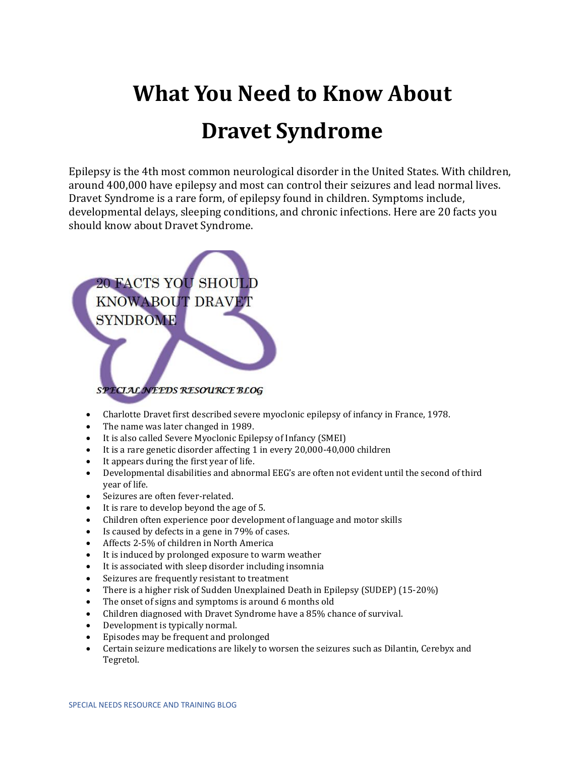## **What You Need to Know About Dravet Syndrome**

Epilepsy is the 4th most common neurological disorder in the United States. With children, around 400,000 have epilepsy and most can control their seizures and lead normal lives. Dravet Syndrome is a rare form, of epilepsy found in children. Symptoms include, developmental delays, sleeping conditions, and chronic infections. Here are 20 facts you should know about Dravet Syndrome.



- Charlotte Dravet first described severe myoclonic epilepsy of infancy in France, 1978.
- The name was later changed in 1989.
- It is also called Severe Myoclonic Epilepsy of Infancy (SMEI)
- It is a rare genetic disorder affecting 1 in every 20,000-40,000 children
- It appears during the first year of life.
- Developmental disabilities and abnormal EEG's are often not evident until the second of third year of life.
- Seizures are often fever-related.
- It is rare to develop beyond the age of 5.
- Children often experience poor development of language and motor skills
- Is caused by defects in a gene in 79% of cases.
- Affects 2-5% of children in North America
- It is induced by prolonged exposure to warm weather
- It is associated with sleep disorder including insomnia
- Seizures are frequently resistant to treatment
- There is a higher risk of Sudden Unexplained Death in Epilepsy (SUDEP) (15-20%)
- The onset of signs and symptoms is around 6 months old
- Children diagnosed with Dravet Syndrome have a 85% chance of survival.
- Development is typically normal.
- Episodes may be frequent and prolonged
- Certain seizure medications are likely to worsen the seizures such as Dilantin, Cerebyx and Tegretol.